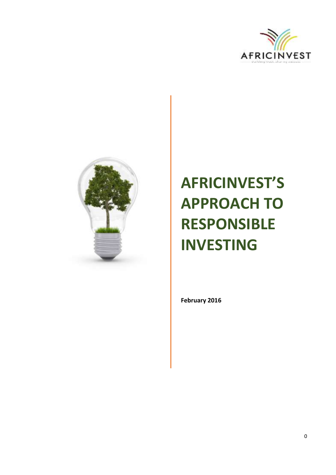



# **AFRICINVEST'S APPROACH TO RESPONSIBLE INVESTING**

**February 2016**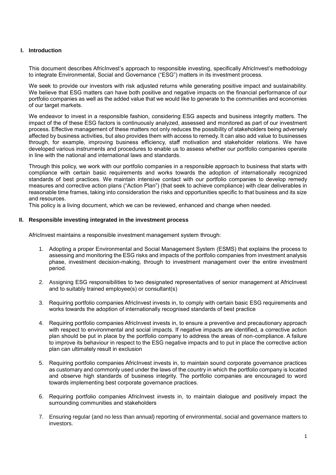# **I. Introduction**

This document describes AfricInvest's approach to responsible investing, specifically AfricInvest's methodology to integrate Environmental, Social and Governance ("ESG") matters in its investment process.

We seek to provide our investors with risk adjusted returns while generating positive impact and sustainability. We believe that ESG matters can have both positive and negative impacts on the financial performance of our portfolio companies as well as the added value that we would like to generate to the communities and economies of our target markets.

We endeavor to invest in a responsible fashion, considering ESG aspects and business integrity matters. The impact of the of these ESG factors is continuously analyzed, assessed and monitored as part of our investment process. Effective management of these matters not only reduces the possibility of stakeholders being adversely affected by business activities, but also provides them with access to remedy. It can also add value to businesses through, for example, improving business efficiency, staff motivation and stakeholder relations. We have developed various instruments and procedures to enable us to assess whether our portfolio companies operate in line with the national and international laws and standards.

Through this policy, we work with our portfolio companies in a responsible approach to business that starts with compliance with certain basic requirements and works towards the adoption of internationally recognized standards of best practices. We maintain intensive contact with our portfolio companies to develop remedy measures and corrective action plans ("Action Plan") (that seek to achieve compliance) with clear deliverables in reasonable time frames, taking into consideration the risks and opportunities specific to that business and its size and resources.

This policy is a living document, which we can be reviewed, enhanced and change when needed.

## **II. Responsible investing integrated in the investment process**

AfricInvest maintains a responsible investment management system through:

- 1. Adopting a proper Environmental and Social Management System (ESMS) that explains the process to assessing and monitoring the ESG risks and impacts of the portfolio companies from investment analysis phase, investment decision-making, through to investment management over the entire investment period.
- 2. Assigning ESG responsibilities to two designated representatives of senior management at AfricInvest and to suitably trained employee(s) or consultant(s)
- 3. Requiring portfolio companies AfricInvest invests in, to comply with certain basic ESG requirements and works towards the adoption of internationally recognised standards of best practice
- 4. Requiring portfolio companies AfricInvest invests in, to ensure a preventive and precautionary approach with respect to environmental and social impacts. If negative impacts are identified, a corrective action plan should be put in place by the portfolio company to address the areas of non-compliance. A failure to improve its behaviour in respect to the ESG negative impacts and to put in place the corrective action plan can ultimately result in exclusion
- 5. Requiring portfolio companies AfricInvest invests in, to maintain sound corporate governance practices as customary and commonly used under the laws of the country in which the portfolio company is located and observe high standards of business integrity. The portfolio companies are encouraged to word towards implementing best corporate governance practices.
- 6. Requiring portfolio companies AfricInvest invests in, to maintain dialogue and positively impact the surrounding communities and stakeholders
- 7. Ensuring regular (and no less than annual) reporting of environmental, social and governance matters to investors.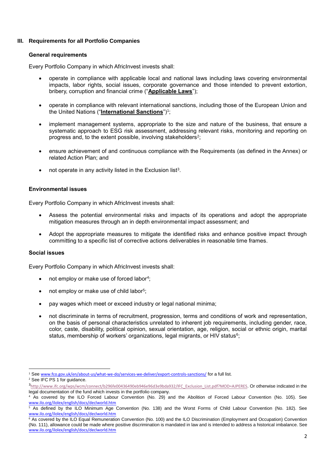# **III. Requirements for all Portfolio Companies**

#### **General requirements**

Every Portfolio Company in which AfricInvest invests shall:

- operate in compliance with applicable local and national laws including laws covering environmental impacts, labor rights, social issues, corporate governance and those intended to prevent extortion, bribery, corruption and financial crime ("**Applicable Laws**");
- operate in compliance with relevant international sanctions, including those of the European Union and the United Nations ("**International Sanctions**")<sup>1</sup> ;
- implement management systems, appropriate to the size and nature of the business, that ensure a systematic approach to ESG risk assessment, addressing relevant risks, monitoring and reporting on progress and, to the extent possible, involving stakeholders<sup>2</sup>;
- ensure achievement of and continuous compliance with the Requirements (as defined in the Annex) or related Action Plan; and
- $\bullet$  not operate in any activity listed in the Exclusion list<sup>3</sup>.

## **Environmental issues**

Every Portfolio Company in which AfricInvest invests shall:

- Assess the potential environmental risks and impacts of its operations and adopt the appropriate mitigation measures through an in depth environmental impact assessment; and
- Adopt the appropriate measures to mitigate the identified risks and enhance positive impact through committing to a specific list of corrective actions deliverables in reasonable time frames.

#### **Social issues**

Every Portfolio Company in which AfricInvest invests shall:

- not employ or make use of forced labor<sup>4</sup>;
- not employ or make use of child labor<sup>5</sup>;
- pay wages which meet or exceed industry or legal national minima;
- not discriminate in terms of recruitment, progression, terms and conditions of work and representation, on the basis of personal characteristics unrelated to inherent job requirements, including gender, race, color, caste, disability, political opinion, sexual orientation, age, religion, social or ethnic origin, marital status, membership of workers' organizations, legal migrants, or HIV status<sup>6</sup>;

<sup>1</sup> See [www.fco.gov.uk/en/about-us/what-we-do/services-we-deliver/export-controls-sanctions/](http://www.fco.gov.uk/en/about-us/what-we-do/services-we-deliver/export-controls-sanctions/) for a full list.

<sup>2</sup> See IFC PS 1 for guidance.

<sup>3</sup>[http://www.ifc.org/wps/wcm/connect/b296fe00436490eb946e96d3e9bda932/IFC\\_Exclusion\\_List.pdf?MOD=AJPERES](http://www.ifc.org/wps/wcm/connect/b296fe00436490eb946e96d3e9bda932/IFC_Exclusion_List.pdf?MOD=AJPERES). Or otherwise indicated in the legal documentation of the fund which invests in the portfolio company.

<sup>&</sup>lt;sup>4</sup> As covered by the ILO Forced Labour Convention (No. 29) and the Abolition of Forced Labour Convention (No. 105). See [www.ilo.org/ilolex/english/docs/declworld.htm](http://www.ilo.org/ilolex/english/docs/declworld.htm)

<sup>5</sup> As defined by the ILO Minimum Age Convention (No. 138) and the Worst Forms of Child Labour Convention (No. 182). See [www.ilo.org/ilolex/english/docs/declworld.htm](http://www.ilo.org/ilolex/english/docs/declworld.htm)

<sup>6</sup> As covered by the ILO Equal Remuneration Convention (No. 100) and the ILO Discrimination (Employment and Occupation) Convention (No. 111), allowance could be made where positive discrimination is mandated in law and is intended to address a historical imbalance. See [www.ilo.org/ilolex/english/docs/declworld.htm](http://www.ilo.org/ilolex/english/docs/declworld.htm)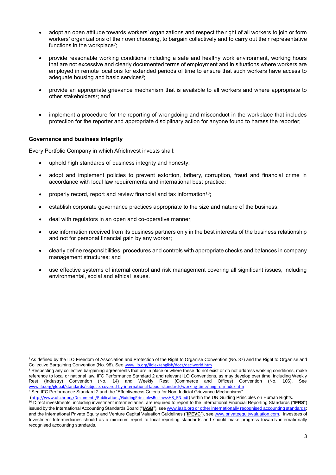- adopt an open attitude towards workers' organizations and respect the right of all workers to join or form workers' organizations of their own choosing, to bargain collectively and to carry out their representative functions in the workplace<sup>7</sup>;
- provide reasonable working conditions including a safe and healthy work environment, working hours that are not excessive and clearly documented terms of employment and in situations where workers are employed in remote locations for extended periods of time to ensure that such workers have access to adequate housing and basic services<sup>8</sup>;
- provide an appropriate grievance mechanism that is available to all workers and where appropriate to other stakeholders<sup>9</sup>; and
- implement a procedure for the reporting of wrongdoing and misconduct in the workplace that includes protection for the reporter and appropriate disciplinary action for anyone found to harass the reporter;

## **Governance and business integrity**

-

Every Portfolio Company in which AfricInvest invests shall:

- uphold high standards of business integrity and honesty;
- adopt and implement policies to prevent extortion, bribery, corruption, fraud and financial crime in accordance with local law requirements and international best practice;
- properly record, report and review financial and tax information<sup>10</sup>;
- establish corporate governance practices appropriate to the size and nature of the business;
- deal with regulators in an open and co-operative manner;
- use information received from its business partners only in the best interests of the business relationship and not for personal financial gain by any worker;
- clearly define responsibilities, procedures and controls with appropriate checks and balances in company management structures; and
- use effective systems of internal control and risk management covering all significant issues, including environmental, social and ethical issues.

([http://www.ohchr.org/Documents/Publications/GuidingPrinciplesBusinessHR\\_EN.pdf](http://www.ohchr.org/Documents/Publications/GuidingPrinciplesBusinessHR_EN.pdf)) within the UN Guiding Principles on Human Rights.

<sup>7</sup>As defined by the ILO Freedom of Association and Protection of the Right to Organise Convention (No. 87) and the Right to Organise and Collective Bargaining Convention (No. 98). See [www.ilo.org/ilolex/english/docs/declworld.htm](http://www.ilo.org/ilolex/english/docs/declworld.htm)

<sup>&</sup>lt;sup>8</sup> Respecting any collective bargaining agreements that are in place or where these do not exist or do not address working conditions, make reference to local or national law, IFC Performance Standard 2 and relevant ILO Conventions, as may develop over time, including Weekly Rest (Industry) Convention (No. 14) and Weekly Rest (Commerce and Offices) Convention (No. 106), See [www.ilo.org/global/standards/subjects-covered-by-international-labour-standards/working-time/lang--en/index.htm](http://www.ilo.org/global/standards/subjects-covered-by-international-labour-standards/working-time/lang--en/index.htm) 9 See IFC Performance Standard 2 and the "Effectiveness Criteria for Non-Judicial Grievance Mechanisms"

<sup>&</sup>lt;sup>10</sup> Direct investments, including investment intermediaries, are required to report to the International Financial Reporting Standards ("IFRS") issued by the International Accounting Standards Board ("**IASB**"), see [www.iasb.org](http://www.iasb.org/) or other internationally recognised accounting standards; and the International Private Equity and Venture Capital Valuation Guidelines ("**IPEVC**"), see [www.privateequityvaluation.com](http://www.privateequityvaluation.com/). Investees of Investment Intermediaries should as a minimum report to local reporting standards and should make progress towards internationally recognised accounting standards.